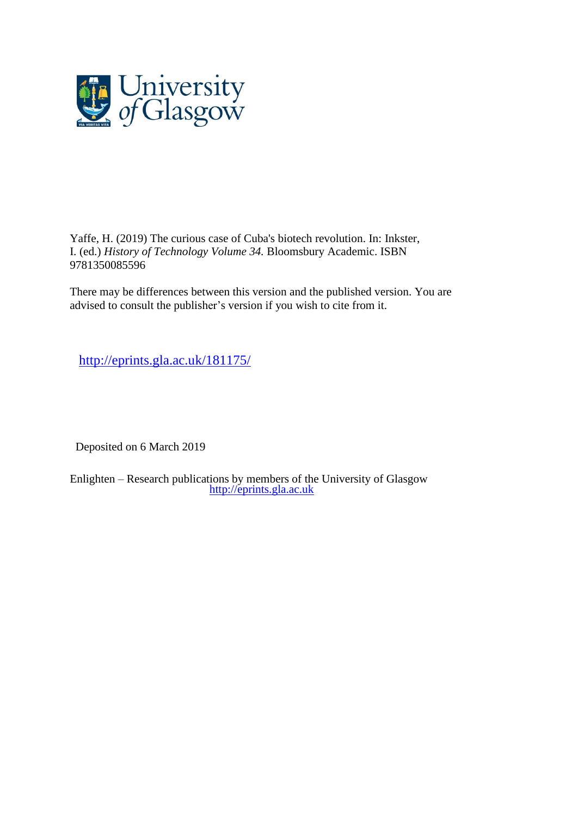

Yaffe, H. (2019) The curious case of Cuba's biotech revolution. In: Inkster, I. (ed.) *History of Technology Volume 34.* Bloomsbury Academic. ISBN 9781350085596

There may be differences between this version and the published version. You are advised to consult the publisher's version if you wish to cite from it.

<http://eprints.gla.ac.uk/181175/>

Deposited on 6 March 2019

Enlighten – Research publications by members of the University of Glasgow [http://eprints.gla.ac.uk](http://eprints.gla.ac.uk/)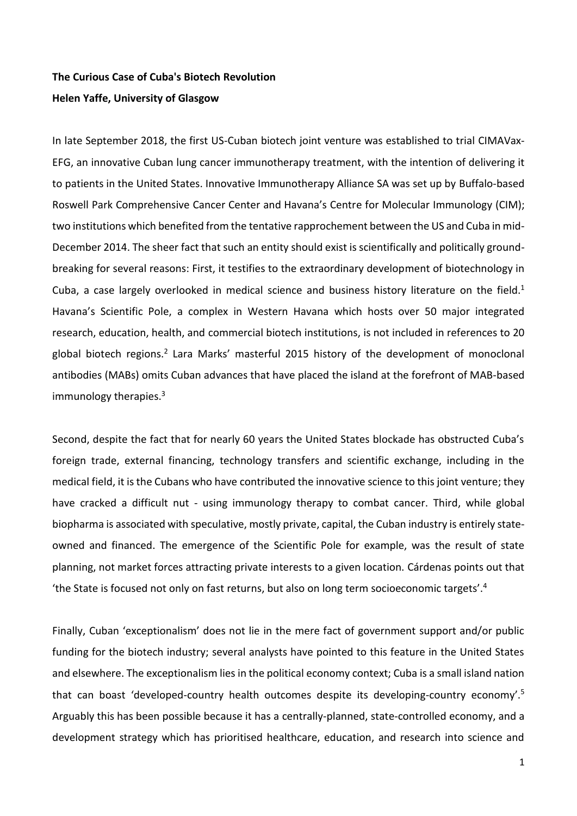# **The Curious Case of Cuba's Biotech Revolution Helen Yaffe, University of Glasgow**

In late September 2018, the first US-Cuban biotech joint venture was established to trial CIMAVax-EFG, an innovative Cuban lung cancer immunotherapy treatment, with the intention of delivering it to patients in the United States. Innovative Immunotherapy Alliance SA was set up by Buffalo-based Roswell Park Comprehensive Cancer Center and Havana's Centre for Molecular Immunology (CIM); two institutions which benefited from the tentative rapprochement between the US and Cuba in mid-December 2014. The sheer fact that such an entity should exist is scientifically and politically groundbreaking for several reasons: First, it testifies to the extraordinary development of biotechnology in Cuba, a case largely overlooked in medical science and business history literature on the field.<sup>1</sup> Havana's Scientific Pole, a complex in Western Havana which hosts over 50 major integrated research, education, health, and commercial biotech institutions, is not included in references to 20 global biotech regions.<sup>2</sup> Lara Marks' masterful 2015 history of the development of monoclonal antibodies (MABs) omits Cuban advances that have placed the island at the forefront of MAB-based immunology therapies.<sup>3</sup>

Second, despite the fact that for nearly 60 years the United States blockade has obstructed Cuba's foreign trade, external financing, technology transfers and scientific exchange, including in the medical field, it is the Cubans who have contributed the innovative science to this joint venture; they have cracked a difficult nut - using immunology therapy to combat cancer. Third, while global biopharma is associated with speculative, mostly private, capital, the Cuban industry is entirely stateowned and financed. The emergence of the Scientific Pole for example, was the result of state planning, not market forces attracting private interests to a given location. Cárdenas points out that 'the State is focused not only on fast returns, but also on long term socioeconomic targets'.<sup>4</sup>

Finally, Cuban 'exceptionalism' does not lie in the mere fact of government support and/or public funding for the biotech industry; several analysts have pointed to this feature in the United States and elsewhere. The exceptionalism lies in the political economy context; Cuba is a small island nation that can boast 'developed-country health outcomes despite its developing-country economy'.<sup>5</sup> Arguably this has been possible because it has a centrally-planned, state-controlled economy, and a development strategy which has prioritised healthcare, education, and research into science and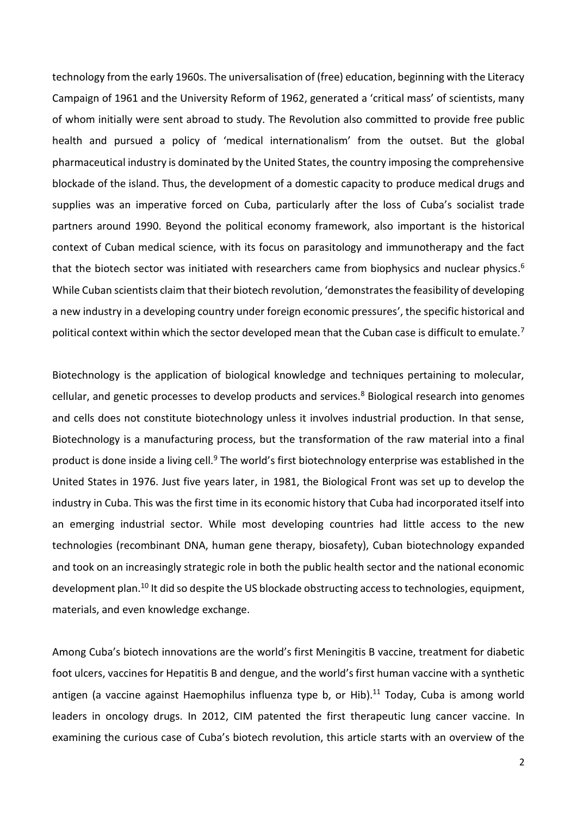technology from the early 1960s. The universalisation of (free) education, beginning with the Literacy Campaign of 1961 and the University Reform of 1962, generated a 'critical mass' of scientists, many of whom initially were sent abroad to study. The Revolution also committed to provide free public health and pursued a policy of 'medical internationalism' from the outset. But the global pharmaceutical industry is dominated by the United States, the country imposing the comprehensive blockade of the island. Thus, the development of a domestic capacity to produce medical drugs and supplies was an imperative forced on Cuba, particularly after the loss of Cuba's socialist trade partners around 1990. Beyond the political economy framework, also important is the historical context of Cuban medical science, with its focus on parasitology and immunotherapy and the fact that the biotech sector was initiated with researchers came from biophysics and nuclear physics. 6 While Cuban scientists claim that their biotech revolution, 'demonstrates the feasibility of developing a new industry in a developing country under foreign economic pressures', the specific historical and political context within which the sector developed mean that the Cuban case is difficult to emulate.<sup>7</sup>

Biotechnology is the application of biological knowledge and techniques pertaining to molecular, cellular, and genetic processes to develop products and services.<sup>8</sup> Biological research into genomes and cells does not constitute biotechnology unless it involves industrial production. In that sense, Biotechnology is a manufacturing process, but the transformation of the raw material into a final product is done inside a living cell.<sup>9</sup> The world's first biotechnology enterprise was established in the United States in 1976. Just five years later, in 1981, the Biological Front was set up to develop the industry in Cuba. This was the first time in its economic history that Cuba had incorporated itself into an emerging industrial sector. While most developing countries had little access to the new technologies (recombinant DNA, human gene therapy, biosafety), Cuban biotechnology expanded and took on an increasingly strategic role in both the public health sector and the national economic development plan.<sup>10</sup> It did so despite the US blockade obstructing access to technologies, equipment, materials, and even knowledge exchange.

Among Cuba's biotech innovations are the world's first Meningitis B vaccine, treatment for diabetic foot ulcers, vaccines for Hepatitis B and dengue, and the world's first human vaccine with a synthetic antigen (a vaccine against Haemophilus influenza type b, or Hib).<sup>11</sup> Today, Cuba is among world leaders in oncology drugs. In 2012, CIM patented the first therapeutic lung cancer vaccine. In examining the curious case of Cuba's biotech revolution, this article starts with an overview of the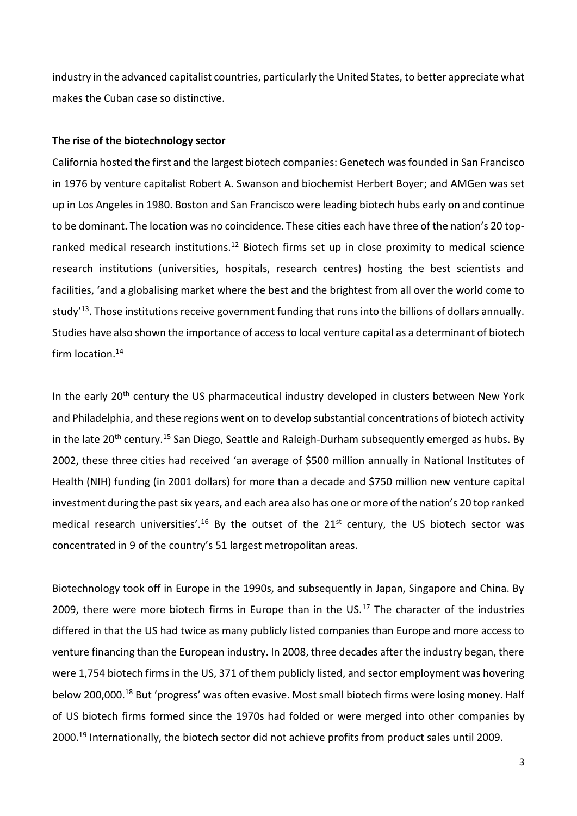industry in the advanced capitalist countries, particularly the United States, to better appreciate what makes the Cuban case so distinctive.

#### **The rise of the biotechnology sector**

California hosted the first and the largest biotech companies: Genetech was founded in San Francisco in 1976 by venture capitalist Robert A. Swanson and biochemist Herbert Boyer; and AMGen was set up in Los Angeles in 1980. Boston and San Francisco were leading biotech hubs early on and continue to be dominant. The location was no coincidence. These cities each have three of the nation's 20 topranked medical research institutions.<sup>12</sup> Biotech firms set up in close proximity to medical science research institutions (universities, hospitals, research centres) hosting the best scientists and facilities, 'and a globalising market where the best and the brightest from all over the world come to study<sup>'13</sup>. Those institutions receive government funding that runs into the billions of dollars annually. Studies have also shown the importance of access to local venture capital as a determinant of biotech firm location.<sup>14</sup>

In the early 20<sup>th</sup> century the US pharmaceutical industry developed in clusters between New York and Philadelphia, and these regions went on to develop substantial concentrations of biotech activity in the late 20<sup>th</sup> century.<sup>15</sup> San Diego, Seattle and Raleigh-Durham subsequently emerged as hubs. By 2002, these three cities had received 'an average of \$500 million annually in National Institutes of Health (NIH) funding (in 2001 dollars) for more than a decade and \$750 million new venture capital investment during the past six years, and each area also has one or more of the nation's 20 top ranked medical research universities'.<sup>16</sup> By the outset of the 21<sup>st</sup> century, the US biotech sector was concentrated in 9 of the country's 51 largest metropolitan areas.

Biotechnology took off in Europe in the 1990s, and subsequently in Japan, Singapore and China. By 2009, there were more biotech firms in Europe than in the  $US.17$  The character of the industries differed in that the US had twice as many publicly listed companies than Europe and more access to venture financing than the European industry. In 2008, three decades after the industry began, there were 1,754 biotech firms in the US, 371 of them publicly listed, and sector employment was hovering below 200,000.<sup>18</sup> But 'progress' was often evasive. Most small biotech firms were losing money. Half of US biotech firms formed since the 1970s had folded or were merged into other companies by 2000.<sup>19</sup> Internationally, the biotech sector did not achieve profits from product sales until 2009.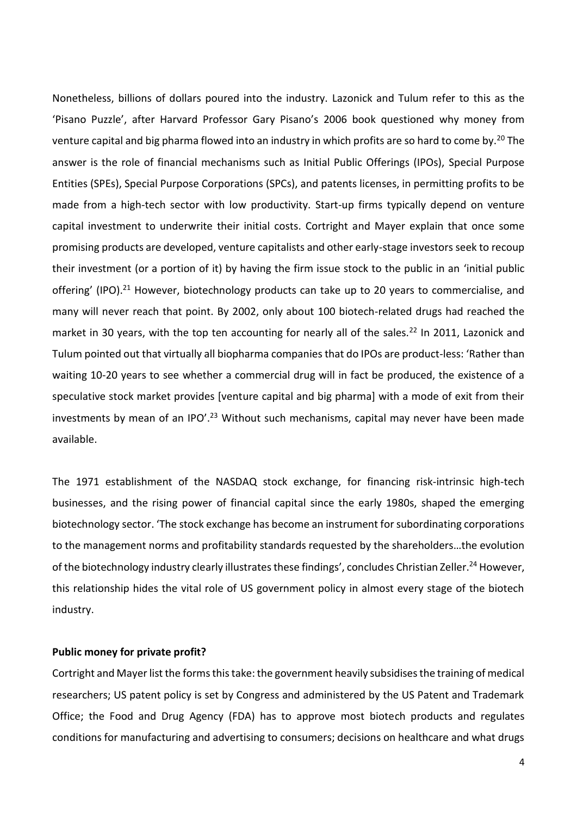Nonetheless, billions of dollars poured into the industry. Lazonick and Tulum refer to this as the 'Pisano Puzzle', after Harvard Professor Gary Pisano's 2006 book questioned why money from venture capital and big pharma flowed into an industry in which profits are so hard to come by.<sup>20</sup> The answer is the role of financial mechanisms such as Initial Public Offerings (IPOs), Special Purpose Entities (SPEs), Special Purpose Corporations (SPCs), and patents licenses, in permitting profits to be made from a high-tech sector with low productivity. Start-up firms typically depend on venture capital investment to underwrite their initial costs. Cortright and Mayer explain that once some promising products are developed, venture capitalists and other early-stage investors seek to recoup their investment (or a portion of it) by having the firm issue stock to the public in an 'initial public offering' (IPO).<sup>21</sup> However, biotechnology products can take up to 20 years to commercialise, and many will never reach that point. By 2002, only about 100 biotech-related drugs had reached the market in 30 years, with the top ten accounting for nearly all of the sales.<sup>22</sup> In 2011, Lazonick and Tulum pointed out that virtually all biopharma companies that do IPOs are product-less: 'Rather than waiting 10-20 years to see whether a commercial drug will in fact be produced, the existence of a speculative stock market provides [venture capital and big pharma] with a mode of exit from their investments by mean of an IPO'.<sup>23</sup> Without such mechanisms, capital may never have been made available.

The 1971 establishment of the NASDAQ stock exchange, for financing risk-intrinsic high-tech businesses, and the rising power of financial capital since the early 1980s, shaped the emerging biotechnology sector. 'The stock exchange has become an instrument for subordinating corporations to the management norms and profitability standards requested by the shareholders…the evolution of the biotechnology industry clearly illustrates these findings', concludes Christian Zeller.<sup>24</sup> However, this relationship hides the vital role of US government policy in almost every stage of the biotech industry.

## **Public money for private profit?**

Cortright and Mayer list the forms this take: the government heavily subsidises the training of medical researchers; US patent policy is set by Congress and administered by the US Patent and Trademark Office; the Food and Drug Agency (FDA) has to approve most biotech products and regulates conditions for manufacturing and advertising to consumers; decisions on healthcare and what drugs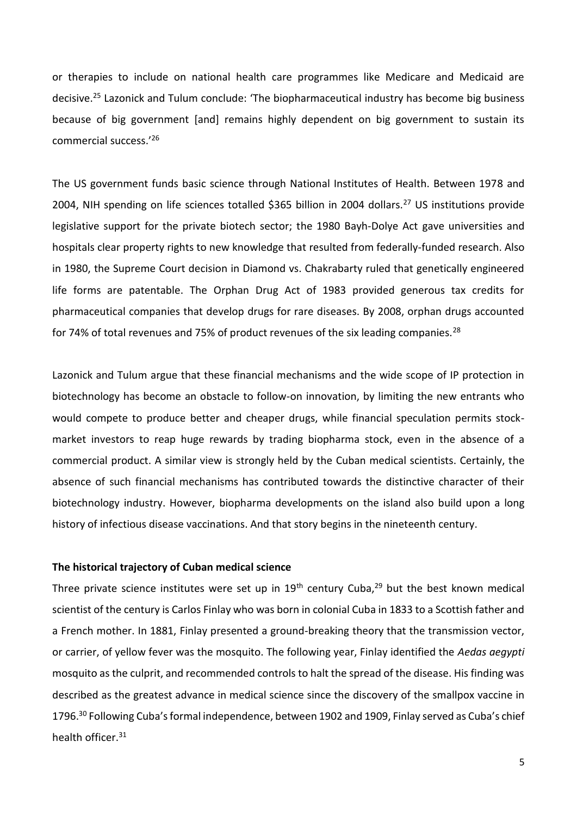or therapies to include on national health care programmes like Medicare and Medicaid are decisive.<sup>25</sup> Lazonick and Tulum conclude: 'The biopharmaceutical industry has become big business because of big government [and] remains highly dependent on big government to sustain its commercial success.'<sup>26</sup>

The US government funds basic science through National Institutes of Health. Between 1978 and 2004, NIH spending on life sciences totalled \$365 billion in 2004 dollars.<sup>27</sup> US institutions provide legislative support for the private biotech sector; the 1980 Bayh-Dolye Act gave universities and hospitals clear property rights to new knowledge that resulted from federally-funded research. Also in 1980, the Supreme Court decision in Diamond vs. Chakrabarty ruled that genetically engineered life forms are patentable. The Orphan Drug Act of 1983 provided generous tax credits for pharmaceutical companies that develop drugs for rare diseases. By 2008, orphan drugs accounted for 74% of total revenues and 75% of product revenues of the six leading companies.<sup>28</sup>

Lazonick and Tulum argue that these financial mechanisms and the wide scope of IP protection in biotechnology has become an obstacle to follow-on innovation, by limiting the new entrants who would compete to produce better and cheaper drugs, while financial speculation permits stockmarket investors to reap huge rewards by trading biopharma stock, even in the absence of a commercial product. A similar view is strongly held by the Cuban medical scientists. Certainly, the absence of such financial mechanisms has contributed towards the distinctive character of their biotechnology industry. However, biopharma developments on the island also build upon a long history of infectious disease vaccinations. And that story begins in the nineteenth century.

## **The historical trajectory of Cuban medical science**

Three private science institutes were set up in  $19<sup>th</sup>$  century Cuba,<sup>29</sup> but the best known medical scientist of the century is Carlos Finlay who was born in colonial Cuba in 1833 to a Scottish father and a French mother. In 1881, Finlay presented a ground-breaking theory that the transmission vector, or carrier, of yellow fever was the mosquito. The following year, Finlay identified the *Aedas aegypti* mosquito as the culprit, and recommended controls to halt the spread of the disease. His finding was described as the greatest advance in medical science since the discovery of the smallpox vaccine in 1796.<sup>30</sup> Following Cuba's formal independence, between 1902 and 1909, Finlay served as Cuba's chief health officer.<sup>31</sup>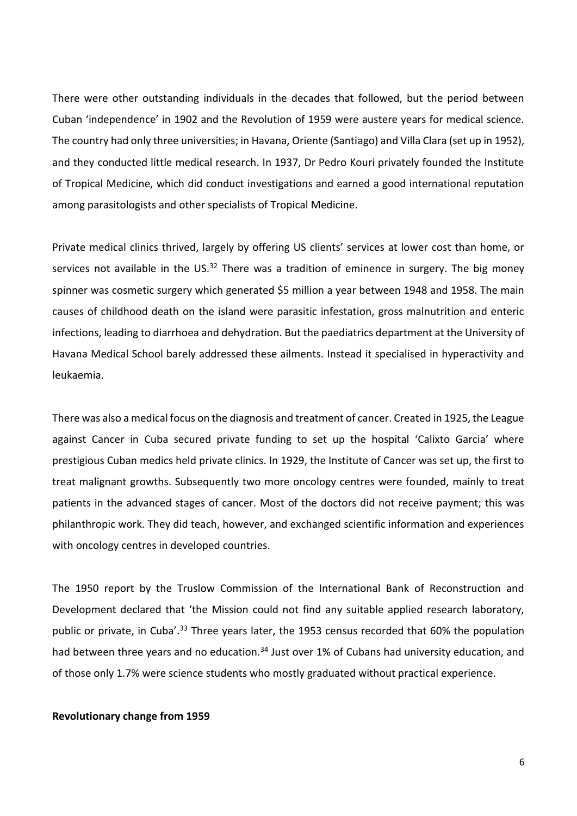There were other outstanding individuals in the decades that followed, but the period between Cuban 'independence' in 1902 and the Revolution of 1959 were austere years for medical science. The country had only three universities; in Havana, Oriente (Santiago) and Villa Clara (set up in 1952), and they conducted little medical research. In 1937, Dr Pedro Kouri privately founded the Institute of Tropical Medicine, which did conduct investigations and earned a good international reputation among parasitologists and other specialists of Tropical Medicine.

Private medical clinics thrived, largely by offering US clients' services at lower cost than home, or services not available in the US. $32$  There was a tradition of eminence in surgery. The big money spinner was cosmetic surgery which generated \$5 million a year between 1948 and 1958. The main causes of childhood death on the island were parasitic infestation, gross malnutrition and enteric infections, leading to diarrhoea and dehydration. But the paediatrics department at the University of Havana Medical School barely addressed these ailments. Instead it specialised in hyperactivity and leukaemia.

There was also a medical focus on the diagnosis and treatment of cancer. Created in 1925, the League against Cancer in Cuba secured private funding to set up the hospital 'Calixto Garcia' where prestigious Cuban medics held private clinics. In 1929, the Institute of Cancer was set up, the first to treat malignant growths. Subsequently two more oncology centres were founded, mainly to treat patients in the advanced stages of cancer. Most of the doctors did not receive payment; this was philanthropic work. They did teach, however, and exchanged scientific information and experiences with oncology centres in developed countries.

The 1950 report by the Truslow Commission of the International Bank of Reconstruction and Development declared that 'the Mission could not find any suitable applied research laboratory, public or private, in Cuba'.<sup>33</sup> Three years later, the 1953 census recorded that 60% the population had between three years and no education.<sup>34</sup> Just over 1% of Cubans had university education, and of those only 1.7% were science students who mostly graduated without practical experience.

### **Revolutionary change from 1959**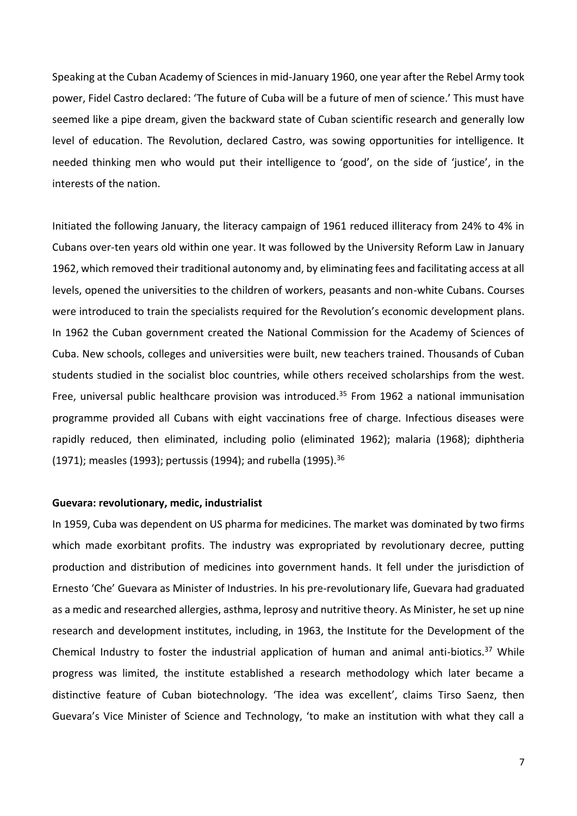Speaking at the Cuban Academy of Sciences in mid-January 1960, one year after the Rebel Army took power, Fidel Castro declared: 'The future of Cuba will be a future of men of science.' This must have seemed like a pipe dream, given the backward state of Cuban scientific research and generally low level of education. The Revolution, declared Castro, was sowing opportunities for intelligence. It needed thinking men who would put their intelligence to 'good', on the side of 'justice', in the interests of the nation.

Initiated the following January, the literacy campaign of 1961 reduced illiteracy from 24% to 4% in Cubans over-ten years old within one year. It was followed by the University Reform Law in January 1962, which removed their traditional autonomy and, by eliminating fees and facilitating access at all levels, opened the universities to the children of workers, peasants and non-white Cubans. Courses were introduced to train the specialists required for the Revolution's economic development plans. In 1962 the Cuban government created the National Commission for the Academy of Sciences of Cuba. New schools, colleges and universities were built, new teachers trained. Thousands of Cuban students studied in the socialist bloc countries, while others received scholarships from the west. Free, universal public healthcare provision was introduced.<sup>35</sup> From 1962 a national immunisation programme provided all Cubans with eight vaccinations free of charge. Infectious diseases were rapidly reduced, then eliminated, including polio (eliminated 1962); malaria (1968); diphtheria (1971); measles (1993); pertussis (1994); and rubella (1995).<sup>36</sup>

#### **Guevara: revolutionary, medic, industrialist**

In 1959, Cuba was dependent on US pharma for medicines. The market was dominated by two firms which made exorbitant profits. The industry was expropriated by revolutionary decree, putting production and distribution of medicines into government hands. It fell under the jurisdiction of Ernesto 'Che' Guevara as Minister of Industries. In his pre-revolutionary life, Guevara had graduated as a medic and researched allergies, asthma, leprosy and nutritive theory. As Minister, he set up nine research and development institutes, including, in 1963, the Institute for the Development of the Chemical Industry to foster the industrial application of human and animal anti-biotics.<sup>37</sup> While progress was limited, the institute established a research methodology which later became a distinctive feature of Cuban biotechnology. 'The idea was excellent', claims Tirso Saenz, then Guevara's Vice Minister of Science and Technology, 'to make an institution with what they call a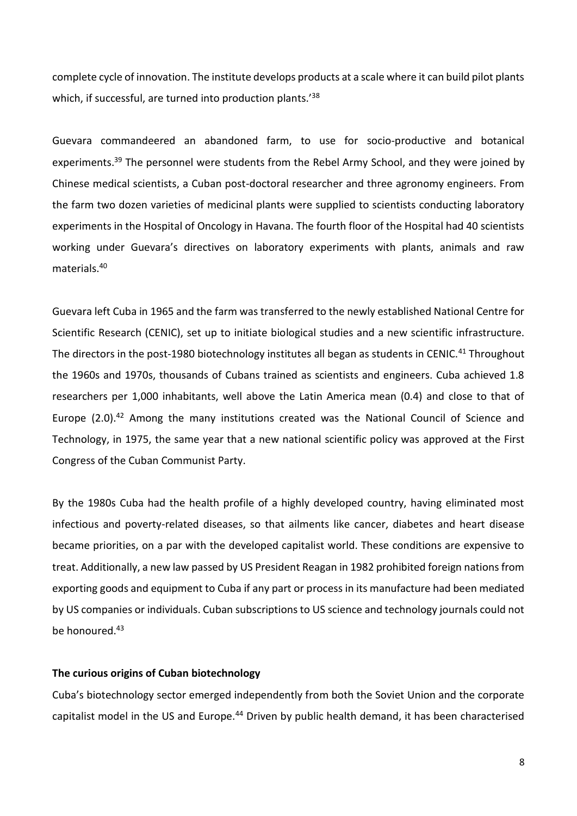complete cycle of innovation. The institute develops products at a scale where it can build pilot plants which, if successful, are turned into production plants.<sup>'38</sup>

Guevara commandeered an abandoned farm, to use for socio-productive and botanical experiments.<sup>39</sup> The personnel were students from the Rebel Army School, and they were joined by Chinese medical scientists, a Cuban post-doctoral researcher and three agronomy engineers. From the farm two dozen varieties of medicinal plants were supplied to scientists conducting laboratory experiments in the Hospital of Oncology in Havana. The fourth floor of the Hospital had 40 scientists working under Guevara's directives on laboratory experiments with plants, animals and raw materials.<sup>40</sup>

Guevara left Cuba in 1965 and the farm was transferred to the newly established National Centre for Scientific Research (CENIC), set up to initiate biological studies and a new scientific infrastructure. The directors in the post-1980 biotechnology institutes all began as students in CENIC.<sup>41</sup> Throughout the 1960s and 1970s, thousands of Cubans trained as scientists and engineers. Cuba achieved 1.8 researchers per 1,000 inhabitants, well above the Latin America mean (0.4) and close to that of Europe  $(2.0).^{42}$  Among the many institutions created was the National Council of Science and Technology, in 1975, the same year that a new national scientific policy was approved at the First Congress of the Cuban Communist Party.

By the 1980s Cuba had the health profile of a highly developed country, having eliminated most infectious and poverty-related diseases, so that ailments like cancer, diabetes and heart disease became priorities, on a par with the developed capitalist world. These conditions are expensive to treat. Additionally, a new law passed by US President Reagan in 1982 prohibited foreign nations from exporting goods and equipment to Cuba if any part or process in its manufacture had been mediated by US companies or individuals. Cuban subscriptions to US science and technology journals could not be honoured.<sup>43</sup>

## **The curious origins of Cuban biotechnology**

Cuba's biotechnology sector emerged independently from both the Soviet Union and the corporate capitalist model in the US and Europe.<sup>44</sup> Driven by public health demand, it has been characterised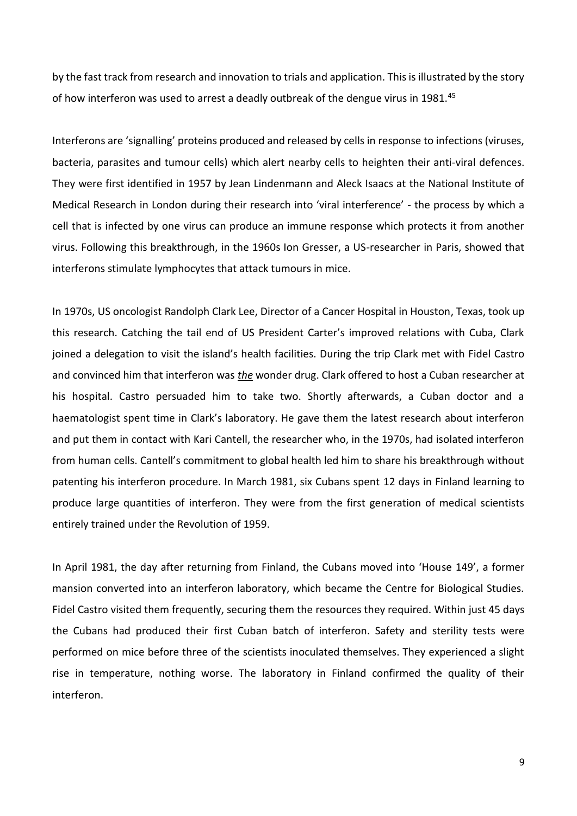by the fast track from research and innovation to trials and application. This is illustrated by the story of how interferon was used to arrest a deadly outbreak of the dengue virus in 1981.<sup>45</sup>

Interferons are 'signalling' proteins produced and released by cells in response to infections (viruses, bacteria, parasites and tumour cells) which alert nearby cells to heighten their anti-viral defences. They were first identified in 1957 by Jean Lindenmann and Aleck Isaacs at the National Institute of Medical Research in London during their research into 'viral interference' - the process by which a cell that is infected by one virus can produce an immune response which protects it from another virus. Following this breakthrough, in the 1960s Ion Gresser, a US-researcher in Paris, showed that interferons stimulate lymphocytes that attack tumours in mice.

In 1970s, US oncologist Randolph Clark Lee, Director of a Cancer Hospital in Houston, Texas, took up this research. Catching the tail end of US President Carter's improved relations with Cuba, Clark joined a delegation to visit the island's health facilities. During the trip Clark met with Fidel Castro and convinced him that interferon was *the* wonder drug. Clark offered to host a Cuban researcher at his hospital. Castro persuaded him to take two. Shortly afterwards, a Cuban doctor and a haematologist spent time in Clark's laboratory. He gave them the latest research about interferon and put them in contact with Kari Cantell, the researcher who, in the 1970s, had isolated interferon from human cells. Cantell's commitment to global health led him to share his breakthrough without patenting his interferon procedure. In March 1981, six Cubans spent 12 days in Finland learning to produce large quantities of interferon. They were from the first generation of medical scientists entirely trained under the Revolution of 1959.

In April 1981, the day after returning from Finland, the Cubans moved into 'House 149', a former mansion converted into an interferon laboratory, which became the Centre for Biological Studies. Fidel Castro visited them frequently, securing them the resources they required. Within just 45 days the Cubans had produced their first Cuban batch of interferon. Safety and sterility tests were performed on mice before three of the scientists inoculated themselves. They experienced a slight rise in temperature, nothing worse. The laboratory in Finland confirmed the quality of their interferon.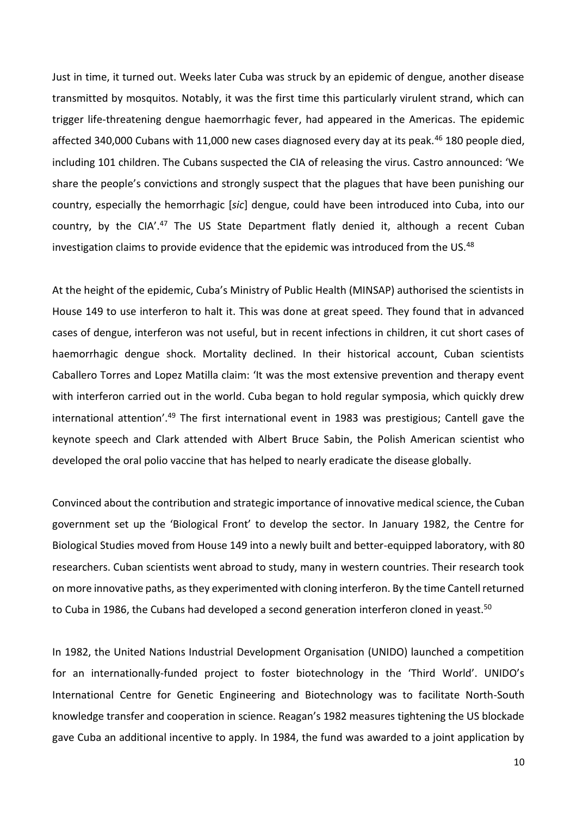Just in time, it turned out. Weeks later Cuba was struck by an epidemic of dengue, another disease transmitted by mosquitos. Notably, it was the first time this particularly virulent strand, which can trigger life-threatening dengue haemorrhagic fever, had appeared in the Americas. The epidemic affected 340,000 Cubans with 11,000 new cases diagnosed every day at its peak.<sup>46</sup> 180 people died, including 101 children. The Cubans suspected the CIA of releasing the virus. Castro announced: 'We share the people's convictions and strongly suspect that the plagues that have been punishing our country, especially the hemorrhagic [*sic*] dengue, could have been introduced into Cuba, into our country, by the CIA'.<sup>47</sup> The US State Department flatly denied it, although a recent Cuban investigation claims to provide evidence that the epidemic was introduced from the US.<sup>48</sup>

At the height of the epidemic, Cuba's Ministry of Public Health (MINSAP) authorised the scientists in House 149 to use interferon to halt it. This was done at great speed. They found that in advanced cases of dengue, interferon was not useful, but in recent infections in children, it cut short cases of haemorrhagic dengue shock. Mortality declined. In their historical account, Cuban scientists Caballero Torres and Lopez Matilla claim: 'It was the most extensive prevention and therapy event with interferon carried out in the world. Cuba began to hold regular symposia, which quickly drew international attention'.<sup>49</sup> The first international event in 1983 was prestigious; Cantell gave the keynote speech and Clark attended with Albert Bruce Sabin, the Polish American scientist who developed the oral polio vaccine that has helped to nearly eradicate the disease globally.

Convinced about the contribution and strategic importance of innovative medical science, the Cuban government set up the 'Biological Front' to develop the sector. In January 1982, the Centre for Biological Studies moved from House 149 into a newly built and better-equipped laboratory, with 80 researchers. Cuban scientists went abroad to study, many in western countries. Their research took on more innovative paths, as they experimented with cloning interferon. By the time Cantell returned to Cuba in 1986, the Cubans had developed a second generation interferon cloned in yeast.<sup>50</sup>

In 1982, the United Nations Industrial Development Organisation (UNIDO) launched a competition for an internationally-funded project to foster biotechnology in the 'Third World'. UNIDO's International Centre for Genetic Engineering and Biotechnology was to facilitate North-South knowledge transfer and cooperation in science. Reagan's 1982 measures tightening the US blockade gave Cuba an additional incentive to apply. In 1984, the fund was awarded to a joint application by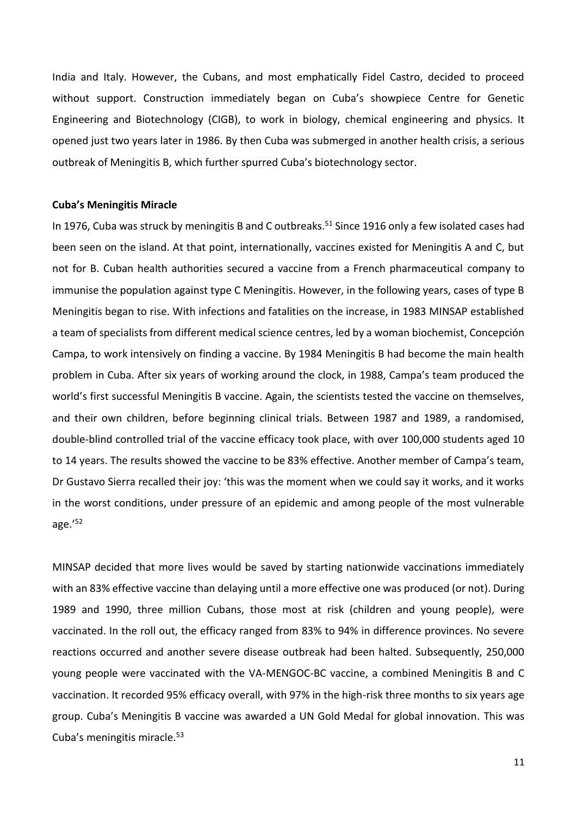India and Italy. However, the Cubans, and most emphatically Fidel Castro, decided to proceed without support. Construction immediately began on Cuba's showpiece Centre for Genetic Engineering and Biotechnology (CIGB), to work in biology, chemical engineering and physics. It opened just two years later in 1986. By then Cuba was submerged in another health crisis, a serious outbreak of Meningitis B, which further spurred Cuba's biotechnology sector.

#### **Cuba's Meningitis Miracle**

In 1976, Cuba was struck by meningitis B and C outbreaks. <sup>51</sup> Since 1916 only a few isolated cases had been seen on the island. At that point, internationally, vaccines existed for Meningitis A and C, but not for B. Cuban health authorities secured a vaccine from a French pharmaceutical company to immunise the population against type C Meningitis. However, in the following years, cases of type B Meningitis began to rise. With infections and fatalities on the increase, in 1983 MINSAP established a team of specialists from different medical science centres, led by a woman biochemist, Concepción Campa, to work intensively on finding a vaccine. By 1984 Meningitis B had become the main health problem in Cuba. After six years of working around the clock, in 1988, Campa's team produced the world's first successful Meningitis B vaccine. Again, the scientists tested the vaccine on themselves, and their own children, before beginning clinical trials. Between 1987 and 1989, a randomised, double-blind controlled trial of the vaccine efficacy took place, with over 100,000 students aged 10 to 14 years. The results showed the vaccine to be 83% effective. Another member of Campa's team, Dr Gustavo Sierra recalled their joy: 'this was the moment when we could say it works, and it works in the worst conditions, under pressure of an epidemic and among people of the most vulnerable age.'<sup>52</sup>

MINSAP decided that more lives would be saved by starting nationwide vaccinations immediately with an 83% effective vaccine than delaying until a more effective one was produced (or not). During 1989 and 1990, three million Cubans, those most at risk (children and young people), were vaccinated. In the roll out, the efficacy ranged from 83% to 94% in difference provinces. No severe reactions occurred and another severe disease outbreak had been halted. Subsequently, 250,000 young people were vaccinated with the VA-MENGOC-BC vaccine, a combined Meningitis B and C vaccination. It recorded 95% efficacy overall, with 97% in the high-risk three months to six years age group. Cuba's Meningitis B vaccine was awarded a UN Gold Medal for global innovation. This was Cuba's meningitis miracle.<sup>53</sup>

11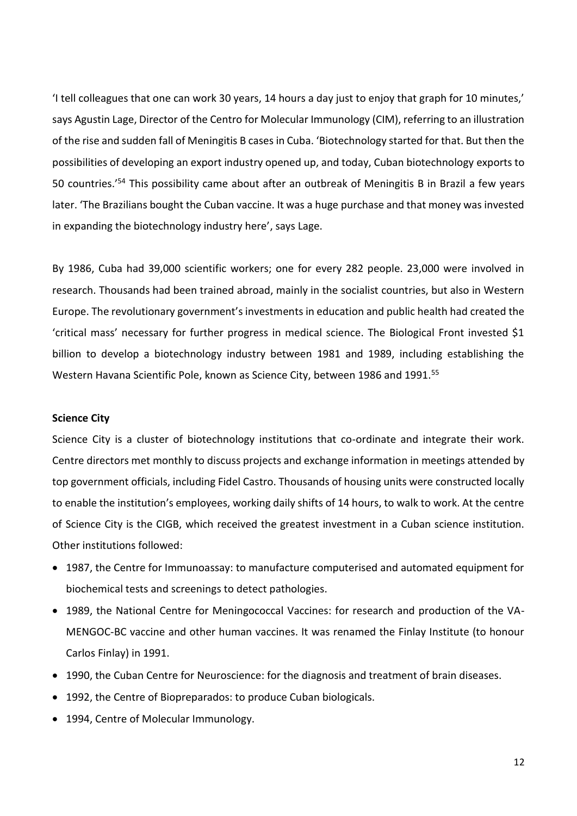'I tell colleagues that one can work 30 years, 14 hours a day just to enjoy that graph for 10 minutes,' says Agustin Lage, Director of the Centro for Molecular Immunology (CIM), referring to an illustration of the rise and sudden fall of Meningitis B cases in Cuba. 'Biotechnology started for that. But then the possibilities of developing an export industry opened up, and today, Cuban biotechnology exports to 50 countries.'<sup>54</sup> This possibility came about after an outbreak of Meningitis B in Brazil a few years later. 'The Brazilians bought the Cuban vaccine. It was a huge purchase and that money was invested in expanding the biotechnology industry here', says Lage.

By 1986, Cuba had 39,000 scientific workers; one for every 282 people. 23,000 were involved in research. Thousands had been trained abroad, mainly in the socialist countries, but also in Western Europe. The revolutionary government's investments in education and public health had created the 'critical mass' necessary for further progress in medical science. The Biological Front invested \$1 billion to develop a biotechnology industry between 1981 and 1989, including establishing the Western Havana Scientific Pole, known as Science City, between 1986 and 1991.<sup>55</sup>

## **Science City**

Science City is a cluster of biotechnology institutions that co-ordinate and integrate their work. Centre directors met monthly to discuss projects and exchange information in meetings attended by top government officials, including Fidel Castro. Thousands of housing units were constructed locally to enable the institution's employees, working daily shifts of 14 hours, to walk to work. At the centre of Science City is the CIGB, which received the greatest investment in a Cuban science institution. Other institutions followed:

- 1987, the Centre for Immunoassay: to manufacture computerised and automated equipment for biochemical tests and screenings to detect pathologies.
- 1989, the National Centre for Meningococcal Vaccines: for research and production of the VA-MENGOC-BC vaccine and other human vaccines. It was renamed the Finlay Institute (to honour Carlos Finlay) in 1991.
- 1990, the Cuban Centre for Neuroscience: for the diagnosis and treatment of brain diseases.
- 1992, the Centre of Biopreparados: to produce Cuban biologicals.
- 1994, Centre of Molecular Immunology.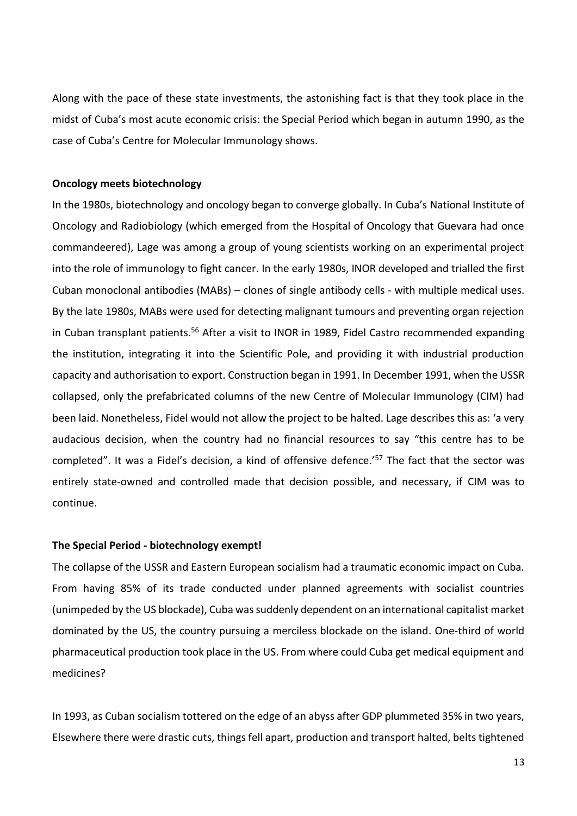Along with the pace of these state investments, the astonishing fact is that they took place in the midst of Cuba's most acute economic crisis: the Special Period which began in autumn 1990, as the case of Cuba's Centre for Molecular Immunology shows.

#### **Oncology meets biotechnology**

In the 1980s, biotechnology and oncology began to converge globally. In Cuba's National Institute of Oncology and Radiobiology (which emerged from the Hospital of Oncology that Guevara had once commandeered), Lage was among a group of young scientists working on an experimental project into the role of immunology to fight cancer. In the early 1980s, INOR developed and trialled the first Cuban monoclonal antibodies (MABs) – clones of single antibody cells - with multiple medical uses. By the late 1980s, MABs were used for detecting malignant tumours and preventing organ rejection in Cuban transplant patients.<sup>56</sup> After a visit to INOR in 1989, Fidel Castro recommended expanding the institution, integrating it into the Scientific Pole, and providing it with industrial production capacity and authorisation to export. Construction began in 1991. In December 1991, when the USSR collapsed, only the prefabricated columns of the new Centre of Molecular Immunology (CIM) had been laid. Nonetheless, Fidel would not allow the project to be halted. Lage describes this as: 'a very audacious decision, when the country had no financial resources to say "this centre has to be completed". It was a Fidel's decision, a kind of offensive defence.<sup>'57</sup> The fact that the sector was entirely state-owned and controlled made that decision possible, and necessary, if CIM was to continue.

## **The Special Period - biotechnology exempt!**

The collapse of the USSR and Eastern European socialism had a traumatic economic impact on Cuba. From having 85% of its trade conducted under planned agreements with socialist countries (unimpeded by the US blockade), Cuba was suddenly dependent on an international capitalist market dominated by the US, the country pursuing a merciless blockade on the island. One-third of world pharmaceutical production took place in the US. From where could Cuba get medical equipment and medicines?

In 1993, as Cuban socialism tottered on the edge of an abyss after GDP plummeted 35% in two years, Elsewhere there were drastic cuts, things fell apart, production and transport halted, belts tightened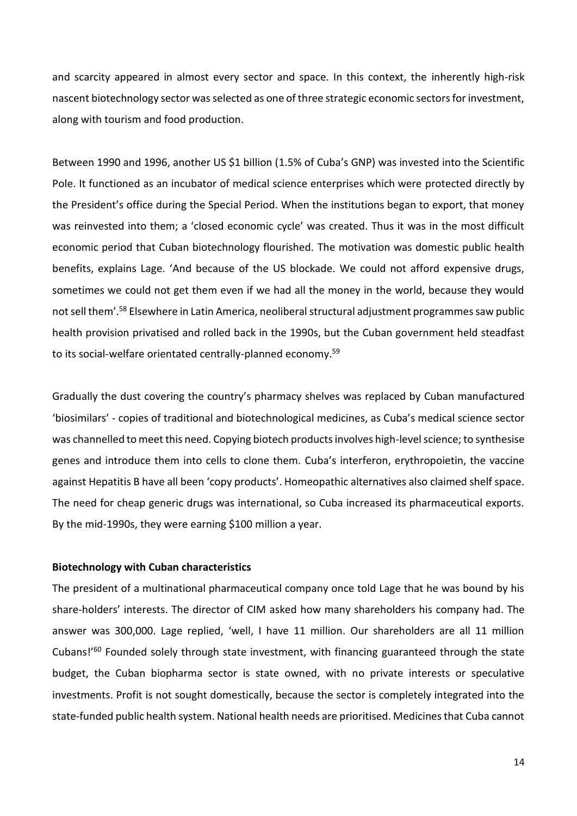and scarcity appeared in almost every sector and space. In this context, the inherently high-risk nascent biotechnology sector was selected as one of three strategic economic sectors for investment, along with tourism and food production.

Between 1990 and 1996, another US \$1 billion (1.5% of Cuba's GNP) was invested into the Scientific Pole. It functioned as an incubator of medical science enterprises which were protected directly by the President's office during the Special Period. When the institutions began to export, that money was reinvested into them; a 'closed economic cycle' was created. Thus it was in the most difficult economic period that Cuban biotechnology flourished. The motivation was domestic public health benefits, explains Lage. 'And because of the US blockade. We could not afford expensive drugs, sometimes we could not get them even if we had all the money in the world, because they would not sell them'.<sup>58</sup> Elsewhere in Latin America, neoliberal structural adjustment programmes saw public health provision privatised and rolled back in the 1990s, but the Cuban government held steadfast to its social-welfare orientated centrally-planned economy.<sup>59</sup>

Gradually the dust covering the country's pharmacy shelves was replaced by Cuban manufactured 'biosimilars' - copies of traditional and biotechnological medicines, as Cuba's medical science sector was channelled to meet this need. Copying biotech products involves high-level science; to synthesise genes and introduce them into cells to clone them. Cuba's interferon, erythropoietin, the vaccine against Hepatitis B have all been 'copy products'. Homeopathic alternatives also claimed shelf space. The need for cheap generic drugs was international, so Cuba increased its pharmaceutical exports. By the mid-1990s, they were earning \$100 million a year.

#### **Biotechnology with Cuban characteristics**

The president of a multinational pharmaceutical company once told Lage that he was bound by his share-holders' interests. The director of CIM asked how many shareholders his company had. The answer was 300,000. Lage replied, 'well, I have 11 million. Our shareholders are all 11 million Cubans!'<sup>60</sup> Founded solely through state investment, with financing guaranteed through the state budget, the Cuban biopharma sector is state owned, with no private interests or speculative investments. Profit is not sought domestically, because the sector is completely integrated into the state-funded public health system. National health needs are prioritised. Medicines that Cuba cannot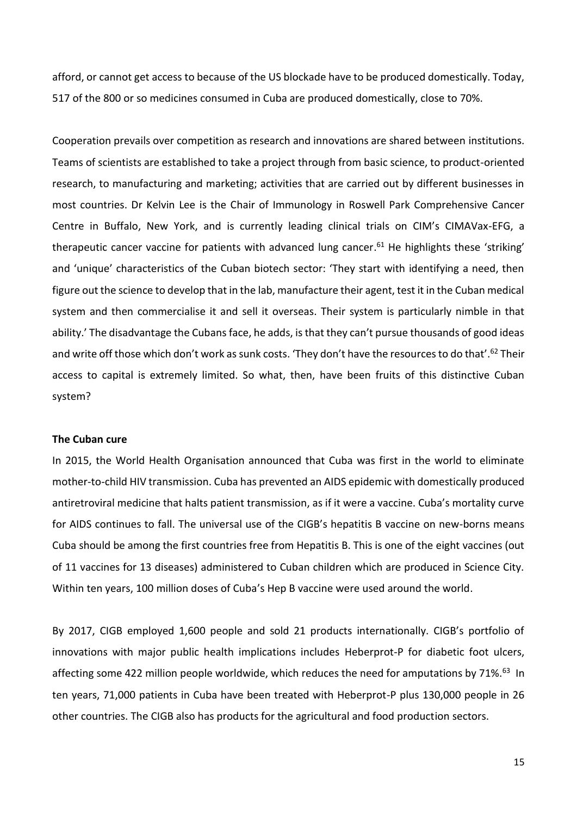afford, or cannot get access to because of the US blockade have to be produced domestically. Today, 517 of the 800 or so medicines consumed in Cuba are produced domestically, close to 70%.

Cooperation prevails over competition as research and innovations are shared between institutions. Teams of scientists are established to take a project through from basic science, to product-oriented research, to manufacturing and marketing; activities that are carried out by different businesses in most countries. Dr Kelvin Lee is the Chair of Immunology in Roswell Park Comprehensive Cancer Centre in Buffalo, New York, and is currently leading clinical trials on CIM's CIMAVax-EFG, a therapeutic cancer vaccine for patients with advanced lung cancer. <sup>61</sup> He highlights these 'striking' and 'unique' characteristics of the Cuban biotech sector: 'They start with identifying a need, then figure out the science to develop that in the lab, manufacture their agent, test it in the Cuban medical system and then commercialise it and sell it overseas. Their system is particularly nimble in that ability.' The disadvantage the Cubans face, he adds, is that they can't pursue thousands of good ideas and write off those which don't work as sunk costs. 'They don't have the resources to do that'.<sup>62</sup> Their access to capital is extremely limited. So what, then, have been fruits of this distinctive Cuban system?

## **The Cuban cure**

In 2015, the World Health Organisation announced that Cuba was first in the world to eliminate mother-to-child HIV transmission. Cuba has prevented an AIDS epidemic with domestically produced antiretroviral medicine that halts patient transmission, as if it were a vaccine. Cuba's mortality curve for AIDS continues to fall. The universal use of the CIGB's hepatitis B vaccine on new-borns means Cuba should be among the first countries free from Hepatitis B. This is one of the eight vaccines (out of 11 vaccines for 13 diseases) administered to Cuban children which are produced in Science City. Within ten years, 100 million doses of Cuba's Hep B vaccine were used around the world.

By 2017, CIGB employed 1,600 people and sold 21 products internationally. CIGB's portfolio of innovations with major public health implications includes Heberprot-P for diabetic foot ulcers, affecting some 422 million people worldwide, which reduces the need for amputations by 71%.<sup>63</sup> In ten years, 71,000 patients in Cuba have been treated with Heberprot-P plus 130,000 people in 26 other countries. The CIGB also has products for the agricultural and food production sectors.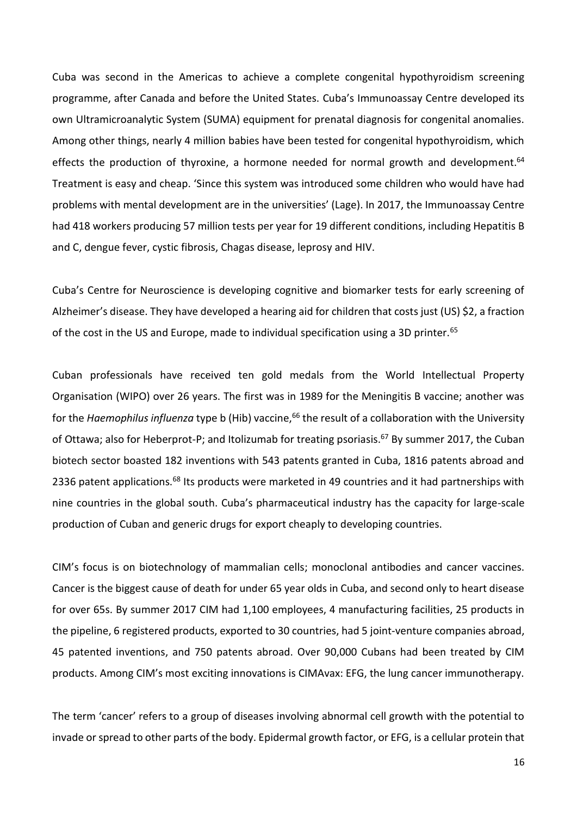Cuba was second in the Americas to achieve a complete congenital hypothyroidism screening programme, after Canada and before the United States. Cuba's Immunoassay Centre developed its own Ultramicroanalytic System (SUMA) equipment for prenatal diagnosis for congenital anomalies. Among other things, nearly 4 million babies have been tested for congenital hypothyroidism, which effects the production of thyroxine, a hormone needed for normal growth and development.<sup>64</sup> Treatment is easy and cheap. 'Since this system was introduced some children who would have had problems with mental development are in the universities' (Lage). In 2017, the Immunoassay Centre had 418 workers producing 57 million tests per year for 19 different conditions, including Hepatitis B and C, dengue fever, cystic fibrosis, Chagas disease, leprosy and HIV.

Cuba's Centre for Neuroscience is developing cognitive and biomarker tests for early screening of Alzheimer's disease. They have developed a hearing aid for children that costs just (US) \$2, a fraction of the cost in the US and Europe, made to individual specification using a 3D printer.<sup>65</sup>

Cuban professionals have received ten gold medals from the World Intellectual Property Organisation (WIPO) over 26 years. The first was in 1989 for the Meningitis B vaccine; another was for the *Haemophilus influenza* type b (Hib) vaccine,<sup>66</sup> the result of a collaboration with the University of Ottawa; also for Heberprot-P; and Itolizumab for treating psoriasis.<sup>67</sup> By summer 2017, the Cuban biotech sector boasted 182 inventions with 543 patents granted in Cuba, 1816 patents abroad and 2336 patent applications.<sup>68</sup> Its products were marketed in 49 countries and it had partnerships with nine countries in the global south. Cuba's pharmaceutical industry has the capacity for large-scale production of Cuban and generic drugs for export cheaply to developing countries.

CIM's focus is on biotechnology of mammalian cells; monoclonal antibodies and cancer vaccines. Cancer is the biggest cause of death for under 65 year olds in Cuba, and second only to heart disease for over 65s. By summer 2017 CIM had 1,100 employees, 4 manufacturing facilities, 25 products in the pipeline, 6 registered products, exported to 30 countries, had 5 joint-venture companies abroad, 45 patented inventions, and 750 patents abroad. Over 90,000 Cubans had been treated by CIM products. Among CIM's most exciting innovations is CIMAvax: EFG, the lung cancer immunotherapy.

The term 'cancer' refers to a group of diseases involving abnormal cell growth with the potential to invade or spread to other parts of the body. Epidermal growth factor, or EFG, is a cellular protein that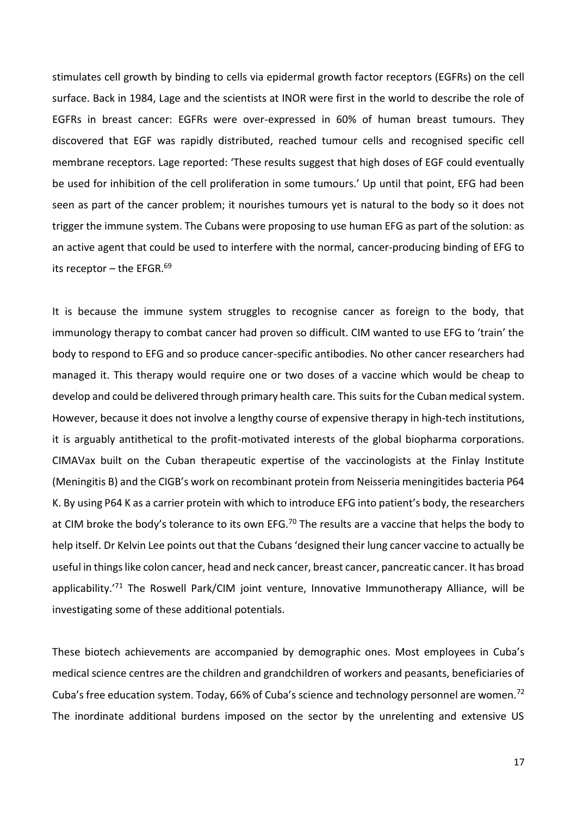stimulates cell growth by binding to cells via epidermal growth factor receptors (EGFRs) on the cell surface. Back in 1984, Lage and the scientists at INOR were first in the world to describe the role of EGFRs in breast cancer: EGFRs were over-expressed in 60% of human breast tumours. They discovered that EGF was rapidly distributed, reached tumour cells and recognised specific cell membrane receptors. Lage reported: 'These results suggest that high doses of EGF could eventually be used for inhibition of the cell proliferation in some tumours.' Up until that point, EFG had been seen as part of the cancer problem; it nourishes tumours yet is natural to the body so it does not trigger the immune system. The Cubans were proposing to use human EFG as part of the solution: as an active agent that could be used to interfere with the normal, cancer-producing binding of EFG to its receptor – the EFGR. $^{69}$ 

It is because the immune system struggles to recognise cancer as foreign to the body, that immunology therapy to combat cancer had proven so difficult. CIM wanted to use EFG to 'train' the body to respond to EFG and so produce cancer-specific antibodies. No other cancer researchers had managed it. This therapy would require one or two doses of a vaccine which would be cheap to develop and could be delivered through primary health care. This suits for the Cuban medical system. However, because it does not involve a lengthy course of expensive therapy in high-tech institutions, it is arguably antithetical to the profit-motivated interests of the global biopharma corporations. CIMAVax built on the Cuban therapeutic expertise of the vaccinologists at the Finlay Institute (Meningitis B) and the CIGB's work on recombinant protein from Neisseria meningitides bacteria P64 K. By using P64 K as a carrier protein with which to introduce EFG into patient's body, the researchers at CIM broke the body's tolerance to its own EFG.<sup>70</sup> The results are a vaccine that helps the body to help itself. Dr Kelvin Lee points out that the Cubans 'designed their lung cancer vaccine to actually be useful in things like colon cancer, head and neck cancer, breast cancer, pancreatic cancer. It has broad applicability.<sup>'71</sup> The Roswell Park/CIM joint venture, Innovative Immunotherapy Alliance, will be investigating some of these additional potentials.

These biotech achievements are accompanied by demographic ones. Most employees in Cuba's medical science centres are the children and grandchildren of workers and peasants, beneficiaries of Cuba's free education system. Today, 66% of Cuba's science and technology personnel are women.<sup>72</sup> The inordinate additional burdens imposed on the sector by the unrelenting and extensive US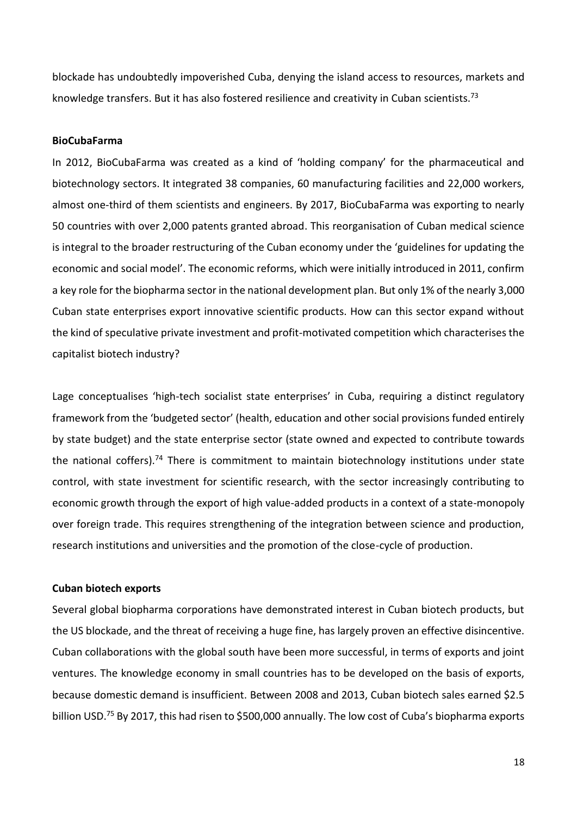blockade has undoubtedly impoverished Cuba, denying the island access to resources, markets and knowledge transfers. But it has also fostered resilience and creativity in Cuban scientists.<sup>73</sup>

#### **BioCubaFarma**

In 2012, BioCubaFarma was created as a kind of 'holding company' for the pharmaceutical and biotechnology sectors. It integrated 38 companies, 60 manufacturing facilities and 22,000 workers, almost one-third of them scientists and engineers. By 2017, BioCubaFarma was exporting to nearly 50 countries with over 2,000 patents granted abroad. This reorganisation of Cuban medical science is integral to the broader restructuring of the Cuban economy under the 'guidelines for updating the economic and social model'. The economic reforms, which were initially introduced in 2011, confirm a key role for the biopharma sector in the national development plan. But only 1% of the nearly 3,000 Cuban state enterprises export innovative scientific products. How can this sector expand without the kind of speculative private investment and profit-motivated competition which characterises the capitalist biotech industry?

Lage conceptualises 'high-tech socialist state enterprises' in Cuba, requiring a distinct regulatory framework from the 'budgeted sector' (health, education and other social provisions funded entirely by state budget) and the state enterprise sector (state owned and expected to contribute towards the national coffers).<sup>74</sup> There is commitment to maintain biotechnology institutions under state control, with state investment for scientific research, with the sector increasingly contributing to economic growth through the export of high value-added products in a context of a state-monopoly over foreign trade. This requires strengthening of the integration between science and production, research institutions and universities and the promotion of the close-cycle of production.

### **Cuban biotech exports**

Several global biopharma corporations have demonstrated interest in Cuban biotech products, but the US blockade, and the threat of receiving a huge fine, has largely proven an effective disincentive. Cuban collaborations with the global south have been more successful, in terms of exports and joint ventures. The knowledge economy in small countries has to be developed on the basis of exports, because domestic demand is insufficient. Between 2008 and 2013, Cuban biotech sales earned \$2.5 billion USD.<sup>75</sup> By 2017, this had risen to \$500,000 annually. The low cost of Cuba's biopharma exports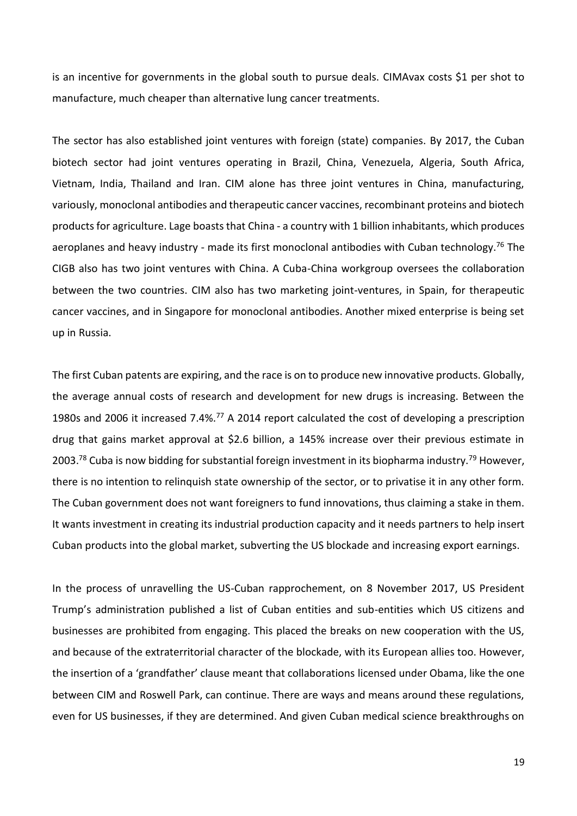is an incentive for governments in the global south to pursue deals. CIMAvax costs \$1 per shot to manufacture, much cheaper than alternative lung cancer treatments.

The sector has also established joint ventures with foreign (state) companies. By 2017, the Cuban biotech sector had joint ventures operating in Brazil, China, Venezuela, Algeria, South Africa, Vietnam, India, Thailand and Iran. CIM alone has three joint ventures in China, manufacturing, variously, monoclonal antibodies and therapeutic cancer vaccines, recombinant proteins and biotech products for agriculture. Lage boasts that China - a country with 1 billion inhabitants, which produces aeroplanes and heavy industry - made its first monoclonal antibodies with Cuban technology.<sup>76</sup> The CIGB also has two joint ventures with China. A Cuba-China workgroup oversees the collaboration between the two countries. CIM also has two marketing joint-ventures, in Spain, for therapeutic cancer vaccines, and in Singapore for monoclonal antibodies. Another mixed enterprise is being set up in Russia.

The first Cuban patents are expiring, and the race is on to produce new innovative products. Globally, the average annual costs of research and development for new drugs is increasing. Between the 1980s and 2006 it increased 7.4%.<sup>77</sup> A 2014 report calculated the cost of developing a prescription drug that gains market approval at \$2.6 billion, a 145% increase over their previous estimate in 2003.<sup>78</sup> Cuba is now bidding for substantial foreign investment in its biopharma industry.<sup>79</sup> However, there is no intention to relinquish state ownership of the sector, or to privatise it in any other form. The Cuban government does not want foreigners to fund innovations, thus claiming a stake in them. It wants investment in creating its industrial production capacity and it needs partners to help insert Cuban products into the global market, subverting the US blockade and increasing export earnings.

In the process of unravelling the US-Cuban rapprochement, on 8 November 2017, US President Trump's administration published a list of Cuban entities and sub-entities which US citizens and businesses are prohibited from engaging. This placed the breaks on new cooperation with the US, and because of the extraterritorial character of the blockade, with its European allies too. However, the insertion of a 'grandfather' clause meant that collaborations licensed under Obama, like the one between CIM and Roswell Park, can continue. There are ways and means around these regulations, even for US businesses, if they are determined. And given Cuban medical science breakthroughs on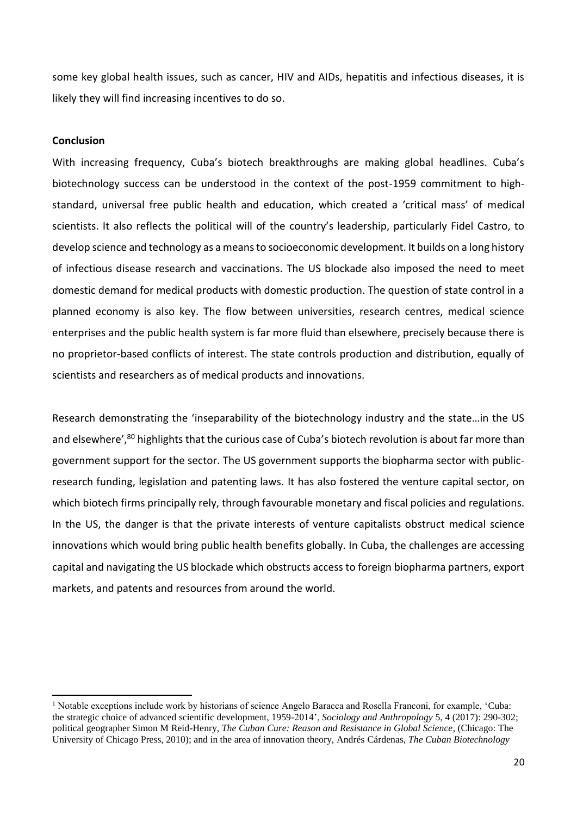some key global health issues, such as cancer, HIV and AIDs, hepatitis and infectious diseases, it is likely they will find increasing incentives to do so.

#### **Conclusion**

**.** 

With increasing frequency, Cuba's biotech breakthroughs are making global headlines. Cuba's biotechnology success can be understood in the context of the post-1959 commitment to highstandard, universal free public health and education, which created a 'critical mass' of medical scientists. It also reflects the political will of the country's leadership, particularly Fidel Castro, to develop science and technology as a means to socioeconomic development. It builds on a long history of infectious disease research and vaccinations. The US blockade also imposed the need to meet domestic demand for medical products with domestic production. The question of state control in a planned economy is also key. The flow between universities, research centres, medical science enterprises and the public health system is far more fluid than elsewhere, precisely because there is no proprietor-based conflicts of interest. The state controls production and distribution, equally of scientists and researchers as of medical products and innovations.

Research demonstrating the 'inseparability of the biotechnology industry and the state…in the US and elsewhere',<sup>80</sup> highlights that the curious case of Cuba's biotech revolution is about far more than government support for the sector. The US government supports the biopharma sector with publicresearch funding, legislation and patenting laws. It has also fostered the venture capital sector, on which biotech firms principally rely, through favourable monetary and fiscal policies and regulations. In the US, the danger is that the private interests of venture capitalists obstruct medical science innovations which would bring public health benefits globally. In Cuba, the challenges are accessing capital and navigating the US blockade which obstructs access to foreign biopharma partners, export markets, and patents and resources from around the world.

<sup>&</sup>lt;sup>1</sup> Notable exceptions include work by historians of science Angelo Baracca and Rosella Franconi, for example, 'Cuba: the strategic choice of advanced scientific development, 1959-2014', *Sociology and Anthropology* 5, 4 (2017): 290-302; political geographer Simon M Reid-Henry, *The Cuban Cure: Reason and Resistance in Global Science*, (Chicago: The University of Chicago Press, 2010); and in the area of innovation theory, Andrés Cárdenas, *The Cuban Biotechnology*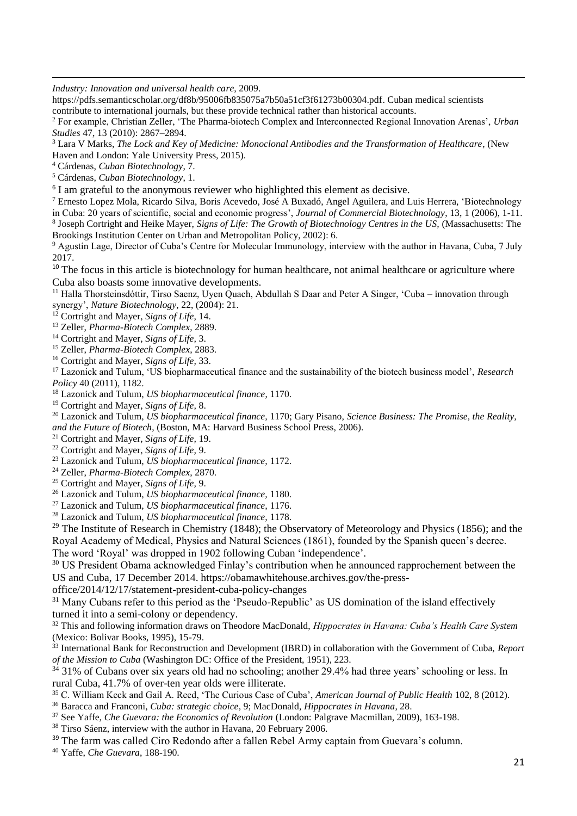*Industry: Innovation and universal health care*, 2009.

https://pdfs.semanticscholar.org/df8b/95006fb835075a7b50a51cf3f61273b00304.pdf. Cuban medical scientists contribute to international journals, but these provide technical rather than historical accounts.

<sup>2</sup> For example, Christian Zeller, 'The Pharma-biotech Complex and Interconnected Regional Innovation Arenas', *Urban Studies* 47, 13 (2010): 2867–2894.

<sup>3</sup> Lara V Marks, *The Lock and Key of Medicine: Monoclonal Antibodies and the Transformation of Healthcare*, (New Haven and London: Yale University Press, 2015).

<sup>4</sup> Cárdenas, *Cuban Biotechnology*, 7.

**.** 

<sup>5</sup> Cárdenas, *Cuban Biotechnology*, 1.

<sup>6</sup> I am grateful to the anonymous reviewer who highlighted this element as decisive.

<sup>7</sup> Ernesto Lopez Mola, Ricardo Silva, Boris Acevedo, José A Buxadó, Angel Aguilera, and Luis Herrera, 'Biotechnology in Cuba: 20 years of scientific, social and economic progress', *Journal of Commercial Biotechnology*, 13, 1 (2006), 1-11. 8 Joseph Cortright and Heike Mayer, *Signs of Life: The Growth of Biotechnology Centres in the US,* (Massachusetts: The Brookings Institution Center on Urban and Metropolitan Policy, 2002): 6.

<sup>9</sup> Agustín Lage, Director of Cuba's Centre for Molecular Immunology, interview with the author in Havana, Cuba, 7 July 2017.

<sup>10</sup> The focus in this article is biotechnology for human healthcare, not animal healthcare or agriculture where Cuba also boasts some innovative developments.

<sup>11</sup> Halla Thorsteinsdóttir, Tirso Saenz, Uyen Quach, Abdullah S Daar and Peter A Singer, 'Cuba – innovation through synergy', *Nature Biotechnology*, 22, (2004): 21.

<sup>12</sup> Cortright and Mayer, *Signs of Life*, 14.

<sup>13</sup> Zeller, *Pharma-Biotech Complex*, 2889.

<sup>14</sup> Cortright and Mayer, *Signs of Life,* 3.

<sup>15</sup> Zeller, *Pharma-Biotech Complex*, 2883.

<sup>16</sup> Cortright and Mayer, *Signs of Life,* 33.

<sup>17</sup> Lazonick and Tulum, 'US biopharmaceutical finance and the sustainability of the biotech business model', *Research Policy* 40 (2011), 1182.

<sup>18</sup> Lazonick and Tulum, *US biopharmaceutical finance*, 1170.

<sup>19</sup> Cortright and Mayer, *Signs of Life,* 8.

<sup>20</sup> Lazonick and Tulum, *US biopharmaceutical finance,* 1170; Gary Pisano, *Science Business: The Promise, the Reality, and the Future of Biotech*, (Boston, MA: Harvard Business School Press, 2006).

<sup>21</sup> Cortright and Mayer, *Signs of Life,* 19.

<sup>22</sup> Cortright and Mayer, *Signs of Life,* 9.

<sup>23</sup> Lazonick and Tulum, *US biopharmaceutical finance,* 1172.

<sup>24</sup> Zeller, *Pharma-Biotech Complex*, 2870.

<sup>25</sup> Cortright and Mayer, *Signs of Life,* 9.

<sup>26</sup> Lazonick and Tulum, *US biopharmaceutical finance,* 1180.

<sup>27</sup> Lazonick and Tulum, *US biopharmaceutical finance,* 1176.

<sup>28</sup> Lazonick and Tulum, *US biopharmaceutical finance,* 1178.

<sup>29</sup> The Institute of Research in Chemistry (1848); the Observatory of Meteorology and Physics (1856); and the Royal Academy of Medical, Physics and Natural Sciences (1861), founded by the Spanish queen's decree.

The word 'Royal' was dropped in 1902 following Cuban 'independence'.

<sup>30</sup> US President Obama acknowledged Finlay's contribution when he announced rapprochement between the US and Cuba, 17 December 2014. https://obamawhitehouse.archives.gov/the-press-

office/2014/12/17/statement-president-cuba-policy-changes

<sup>31</sup> Many Cubans refer to this period as the 'Pseudo-Republic' as US domination of the island effectively turned it into a semi-colony or dependency.

<sup>32</sup> This and following information draws on Theodore MacDonald, *Hippocrates in Havana: Cuba's Health Care System* (Mexico: Bolivar Books, 1995), 15-79.

<sup>33</sup> International Bank for Reconstruction and Development (IBRD) in collaboration with the Government of Cuba, *Report of the Mission to Cuba* (Washington DC: Office of the President, 1951), 223.

 $34$  31% of Cubans over six years old had no schooling; another 29.4% had three years' schooling or less. In rural Cuba, 41.7% of over-ten year olds were illiterate.

<sup>35</sup> C. William Keck and Gail A. Reed, 'The Curious Case of Cuba', *American Journal of Public Health* 102, 8 (2012).

<sup>36</sup> Baracca and Franconi, *Cuba: strategic choice*, 9; MacDonald, *Hippocrates in Havana*, 28.

<sup>37</sup> See Yaffe, *Che Guevara: the Economics of Revolution* (London: Palgrave Macmillan, 2009), 163-198.

<sup>38</sup> Tirso Sáenz, interview with the author in Havana, 20 February 2006.

<sup>39</sup> The farm was called Ciro Redondo after a fallen Rebel Army captain from Guevara's column.

<sup>40</sup> Yaffe, *Che Guevara*, 188-190.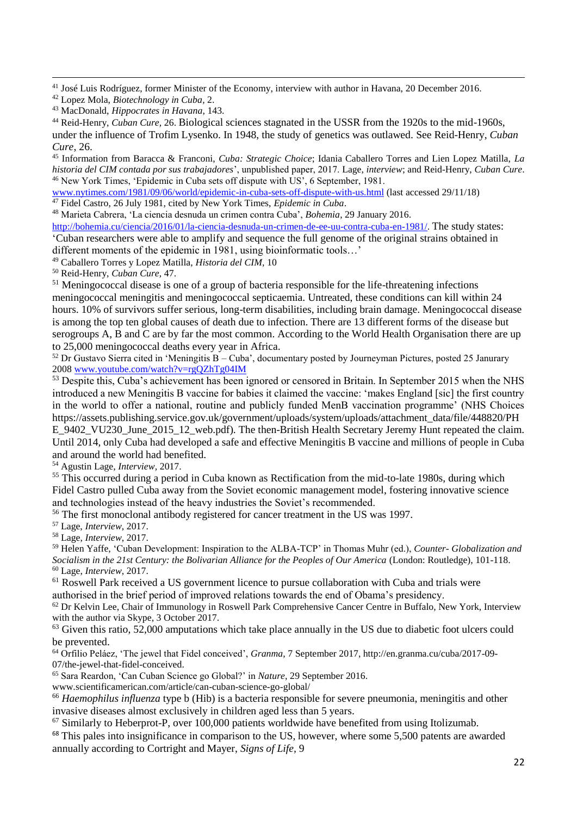**.** <sup>41</sup> José Luis Rodríguez, former Minister of the Economy, interview with author in Havana, 20 December 2016.

<sup>44</sup> Reid-Henry, *Cuban Cure,* 26. Biological sciences stagnated in the USSR from the 1920s to the mid-1960s, under the influence of Trofim Lysenko. In 1948, the study of genetics was outlawed. See Reid-Henry, *Cuban Cure*, 26.

<sup>45</sup> Information from Baracca & Franconi, *Cuba: Strategic Choice*; Idania Caballero Torres and Lien Lopez Matilla, *La historia del CIM contada por sus trabajadores*', unpublished paper, 2017. Lage, *interview*; and Reid-Henry, *Cuban Cure*. <sup>46</sup> New York Times, 'Epidemic in Cuba sets off dispute with US', 6 September, 1981.

[www.nytimes.com/1981/09/06/world/epidemic-in-cuba-sets-off-dispute-with-us.html](http://www.nytimes.com/1981/09/06/world/epidemic-in-cuba-sets-off-dispute-with-us.html) (last accessed 29/11/18) <sup>47</sup> Fidel Castro, 26 July 1981, cited by New York Times, *Epidemic in Cuba*.

<sup>48</sup> Marieta Cabrera, 'La ciencia desnuda un crimen contra Cuba', *Bohemia*, 29 January 2016.

[http://bohemia.cu/ciencia/2016/01/la-ciencia-desnuda-un-crimen-de-ee-uu-contra-cuba-en-1981/.](http://bohemia.cu/ciencia/2016/01/la-ciencia-desnuda-un-crimen-de-ee-uu-contra-cuba-en-1981/) The study states: 'Cuban researchers were able to amplify and sequence the full genome of the original strains obtained in different moments of the epidemic in 1981, using bioinformatic tools…'

<sup>49</sup> Caballero Torres y Lopez Matilla, *Historia del CIM,* 10

<sup>50</sup> Reid-Henry, *Cuban Cure,* 47.

<sup>51</sup> Meningococcal disease is one of a group of bacteria responsible for the life-threatening infections meningococcal meningitis and meningococcal septicaemia. Untreated, these conditions can kill within 24 hours. 10% of survivors suffer serious, long-term disabilities, including brain damage. Meningococcal disease is among the top ten global causes of death due to infection. There are 13 different forms of the disease but serogroups A, B and C are by far the most common. According to the World Health Organisation there are up to 25,000 meningococcal deaths every year in Africa.

 $52$  Dr Gustavo Sierra cited in 'Meningitis B – Cuba', documentary posted by Journeyman Pictures, posted 25 Janurary 200[8 www.youtube.com/watch?v=rgQZhTg04IM](http://www.youtube.com/watch?v=rgQZhTg04IM)

<sup>53</sup> Despite this, Cuba's achievement has been ignored or censored in Britain. In September 2015 when the NHS introduced a new Meningitis B vaccine for babies it claimed the vaccine: 'makes England [sic] the first country in the world to offer a national, routine and publicly funded MenB vaccination programme' (NHS Choices https://assets.publishing.service.gov.uk/government/uploads/system/uploads/attachment\_data/file/448820/PH E\_9402\_VU230\_June\_2015\_12\_web.pdf). The then-British Health Secretary Jeremy Hunt repeated the claim. Until 2014, only Cuba had developed a safe and effective Meningitis B vaccine and millions of people in Cuba and around the world had benefited.

<sup>54</sup> Agustin Lage, *Interview,* 2017.

<sup>55</sup> This occurred during a period in Cuba known as Rectification from the mid-to-late 1980s, during which Fidel Castro pulled Cuba away from the Soviet economic management model, fostering innovative science and technologies instead of the heavy industries the Soviet's recommended.

<sup>56</sup> The first monoclonal antibody registered for cancer treatment in the US was 1997.

<sup>57</sup> Lage, *Interview*, 2017.

<sup>58</sup> Lage, *Interview*, 2017.

<sup>59</sup> Helen Yaffe, 'Cuban Development: Inspiration to the ALBA-TCP' in Thomas Muhr (ed.), *Counter- Globalization and Socialism in the 21st Century: the Bolivarian Alliance for the Peoples of Our America* (London: Routledge), 101-118. <sup>60</sup> Lage, *Interview*, 2017.

<sup>61</sup> Roswell Park received a US government licence to pursue collaboration with Cuba and trials were authorised in the brief period of improved relations towards the end of Obama's presidency.

 $62$  Dr Kelvin Lee, Chair of Immunology in Roswell Park Comprehensive Cancer Centre in Buffalo, New York, Interview with the author via Skype, 3 October 2017.

<sup>63</sup> Given this ratio, 52,000 amputations which take place annually in the US due to diabetic foot ulcers could be prevented.

<sup>64</sup> Orfilio Peláez, 'The jewel that Fidel conceived', *Granma*, 7 September 2017, http://en.granma.cu/cuba/2017-09- 07/the-jewel-that-fidel-conceived.

<sup>65</sup> Sara Reardon, 'Can Cuban Science go Global?' in *Nature,* 29 September 2016.

www.scientificamerican.com/article/can-cuban-science-go-global/

<sup>66</sup> *Haemophilus influenza* type b (Hib) is a bacteria responsible for severe pneumonia, meningitis and other invasive diseases almost exclusively in children aged less than 5 years.

 $67$  Similarly to Heberprot-P, over 100,000 patients worldwide have benefited from using Itolizumab.

<sup>68</sup> This pales into insignificance in comparison to the US, however, where some 5,500 patents are awarded annually according to Cortright and Mayer, *Signs of Life,* 9

<sup>42</sup> Lopez Mola, *Biotechnology in Cuba*, 2.

<sup>43</sup> MacDonald, *Hippocrates in Havana,* 143.